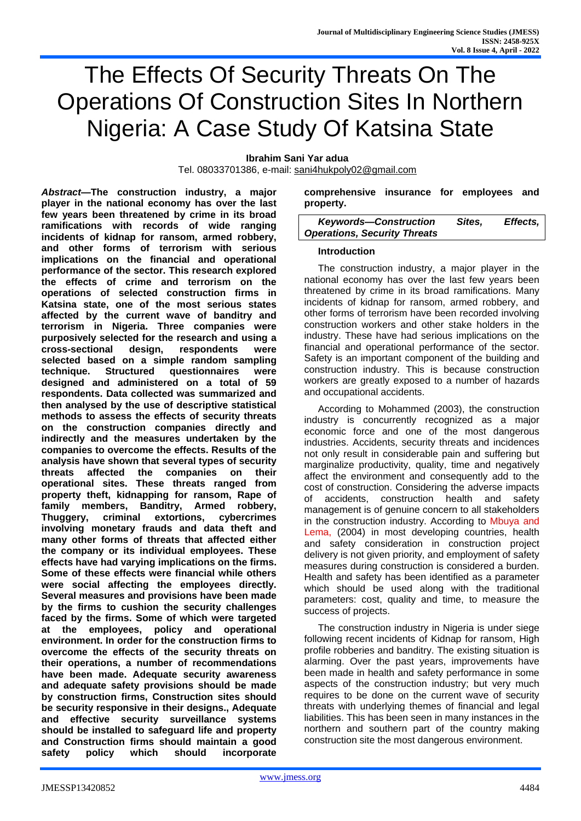# The Effects Of Security Threats On The Operations Of Construction Sites In Northern Nigeria: A Case Study Of Katsina State

**Ibrahim Sani Yar adua**

Tel. 08033701386, e-mail: [sani4hukpoly02@gmail.com](mailto:sani4hukpoly02@gmail.com)

*Abstract***—The construction industry, a major player in the national economy has over the last few years been threatened by crime in its broad ramifications with records of wide ranging incidents of kidnap for ransom, armed robbery, and other forms of terrorism with serious implications on the financial and operational performance of the sector. This research explored the effects of crime and terrorism on the operations of selected construction firms in Katsina state, one of the most serious states affected by the current wave of banditry and terrorism in Nigeria. Three companies were purposively selected for the research and using a cross-sectional design, respondents were selected based on a simple random sampling technique. Structured questionnaires were designed and administered on a total of 59 respondents. Data collected was summarized and then analysed by the use of descriptive statistical methods to assess the effects of security threats on the construction companies directly and indirectly and the measures undertaken by the companies to overcome the effects. Results of the analysis have shown that several types of security threats affected the companies on their operational sites. These threats ranged from property theft, kidnapping for ransom, Rape of family members, Banditry, Armed robbery, Thuggery, criminal extortions, cybercrimes involving monetary frauds and data theft and many other forms of threats that affected either the company or its individual employees. These effects have had varying implications on the firms. Some of these effects were financial while others were social affecting the employees directly. Several measures and provisions have been made by the firms to cushion the security challenges faced by the firms. Some of which were targeted at the employees, policy and operational environment. In order for the construction firms to overcome the effects of the security threats on their operations, a number of recommendations have been made. Adequate security awareness and adequate safety provisions should be made by construction firms, Construction sites should be security responsive in their designs., Adequate and effective security surveillance systems should be installed to safeguard life and property and Construction firms should maintain a good safety policy which should incorporate** 

**comprehensive insurance for employees and property.**

| <b>Keywords-Construction</b>        | Sites, | Effects, |
|-------------------------------------|--------|----------|
| <b>Operations, Security Threats</b> |        |          |

#### **Introduction**

The construction industry, a major player in the national economy has over the last few years been threatened by crime in its broad ramifications. Many incidents of kidnap for ransom, armed robbery, and other forms of terrorism have been recorded involving construction workers and other stake holders in the industry. These have had serious implications on the financial and operational performance of the sector. Safety is an important component of the building and construction industry. This is because construction workers are greatly exposed to a number of hazards and occupational accidents.

According to Mohammed (2003), the construction industry is concurrently recognized as a major economic force and one of the most dangerous industries. Accidents, security threats and incidences not only result in considerable pain and suffering but marginalize productivity, quality, time and negatively affect the environment and consequently add to the cost of construction. Considering the adverse impacts of accidents, construction health and safety management is of genuine concern to all stakeholders in the construction industry. According to Mbuya and Lema, (2004) in most developing countries, health and safety consideration in construction project delivery is not given priority, and employment of safety measures during construction is considered a burden. Health and safety has been identified as a parameter which should be used along with the traditional parameters: cost, quality and time, to measure the success of projects.

The construction industry in Nigeria is under siege following recent incidents of Kidnap for ransom, High profile robberies and banditry. The existing situation is alarming. Over the past years, improvements have been made in health and safety performance in some aspects of the construction industry; but very much requires to be done on the current wave of security threats with underlying themes of financial and legal liabilities. This has been seen in many instances in the northern and southern part of the country making construction site the most dangerous environment.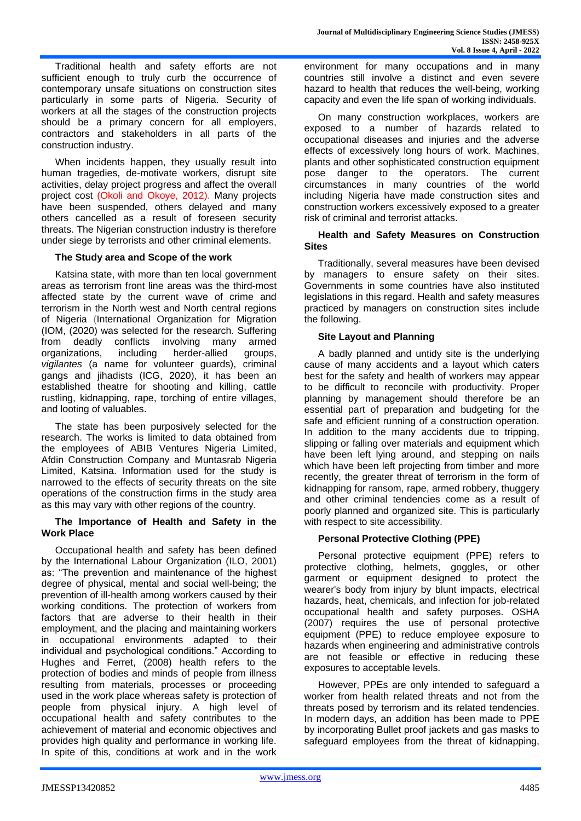Traditional health and safety efforts are not sufficient enough to truly curb the occurrence of contemporary unsafe situations on construction sites particularly in some parts of Nigeria. Security of workers at all the stages of the construction projects should be a primary concern for all employers, contractors and stakeholders in all parts of the construction industry.

When incidents happen, they usually result into human tragedies, de-motivate workers, disrupt site activities, delay project progress and affect the overall project cost (Okoli and Okoye, 2012). Many projects have been suspended, others delayed and many others cancelled as a result of foreseen security threats. The Nigerian construction industry is therefore under siege by terrorists and other criminal elements.

## **The Study area and Scope of the work**

Katsina state, with more than ten local government areas as terrorism front line areas was the third-most affected state by the current wave of crime and terrorism in the North west and North central regions of Nigeria (International Organization for Migration (IOM, (2020) was selected for the research. Suffering from deadly conflicts involving many armed organizations, including herder-allied groups, *vigilantes* (a name for volunteer guards), criminal gangs and jihadists (ICG, 2020), it has been an established theatre for shooting and killing, cattle rustling, kidnapping, rape, torching of entire villages, and looting of valuables.

The state has been purposively selected for the research. The works is limited to data obtained from the employees of ABIB Ventures Nigeria Limited, Afdin Construction Company and Muntasrab Nigeria Limited, Katsina. Information used for the study is narrowed to the effects of security threats on the site operations of the construction firms in the study area as this may vary with other regions of the country.

#### **The Importance of Health and Safety in the Work Place**

Occupational health and safety has been defined by the International Labour Organization (ILO, 2001) as: "The prevention and maintenance of the highest degree of physical, mental and social well-being; the prevention of ill-health among workers caused by their working conditions. The protection of workers from factors that are adverse to their health in their employment, and the placing and maintaining workers in occupational environments adapted to their individual and psychological conditions." According to Hughes and Ferret, (2008) health refers to the protection of bodies and minds of people from illness resulting from materials, processes or proceeding used in the work place whereas safety is protection of people from physical injury. A high level of occupational health and safety contributes to the achievement of material and economic objectives and provides high quality and performance in working life. In spite of this, conditions at work and in the work

environment for many occupations and in many countries still involve a distinct and even severe hazard to health that reduces the well-being, working capacity and even the life span of working individuals.

On many construction workplaces, workers are exposed to a number of hazards related to occupational diseases and injuries and the adverse effects of excessively long hours of work. Machines, plants and other sophisticated construction equipment pose danger to the operators. The current circumstances in many countries of the world including Nigeria have made construction sites and construction workers excessively exposed to a greater risk of criminal and terrorist attacks.

## **Health and Safety Measures on Construction Sites**

Traditionally, several measures have been devised by managers to ensure safety on their sites. Governments in some countries have also instituted legislations in this regard. Health and safety measures practiced by managers on construction sites include the following.

# **Site Layout and Planning**

A badly planned and untidy site is the underlying cause of many accidents and a layout which caters best for the safety and health of workers may appear to be difficult to reconcile with productivity. Proper planning by management should therefore be an essential part of preparation and budgeting for the safe and efficient running of a construction operation. In addition to the many accidents due to tripping, slipping or falling over materials and equipment which have been left lying around, and stepping on nails which have been left projecting from timber and more recently, the greater threat of terrorism in the form of kidnapping for ransom, rape, armed robbery, thuggery and other criminal tendencies come as a result of poorly planned and organized site. This is particularly with respect to site accessibility.

# **Personal Protective Clothing (PPE)**

Personal protective equipment (PPE) refers to protective clothing, helmets, goggles, or other garment or equipment designed to protect the wearer's body from injury by blunt impacts, electrical hazards, heat, chemicals, and infection for job-related occupational health and safety purposes. OSHA (2007) requires the use of personal protective equipment (PPE) to reduce employee exposure to hazards when engineering and administrative controls are not feasible or effective in reducing these exposures to acceptable levels.

However, PPEs are only intended to safeguard a worker from health related threats and not from the threats posed by terrorism and its related tendencies. In modern days, an addition has been made to PPE by incorporating Bullet proof jackets and gas masks to safeguard employees from the threat of kidnapping,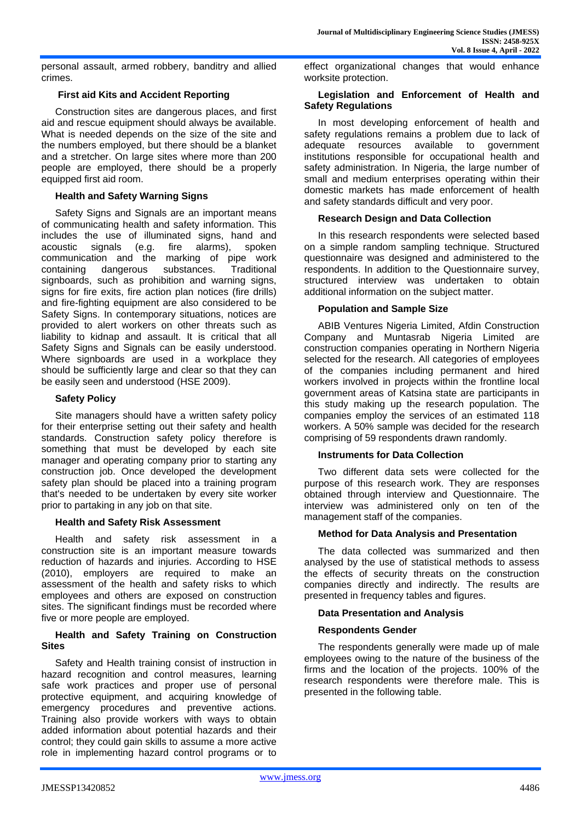personal assault, armed robbery, banditry and allied crimes.

## **First aid Kits and Accident Reporting**

Construction sites are dangerous places, and first aid and rescue equipment should always be available. What is needed depends on the size of the site and the numbers employed, but there should be a blanket and a stretcher. On large sites where more than 200 people are employed, there should be a properly equipped first aid room.

## **Health and Safety Warning Signs**

Safety Signs and Signals are an important means of communicating health and safety information. This includes the use of illuminated signs, hand and acoustic signals (e.g. fire alarms), spoken communication and the marking of pipe work containing dangerous substances. Traditional signboards, such as prohibition and warning signs, signs for fire exits, fire action plan notices (fire drills) and fire-fighting equipment are also considered to be Safety Signs. In contemporary situations, notices are provided to alert workers on other threats such as liability to kidnap and assault. It is critical that all Safety Signs and Signals can be easily understood. Where signboards are used in a workplace they should be sufficiently large and clear so that they can be easily seen and understood (HSE 2009).

## **Safety Policy**

Site managers should have a written safety policy for their enterprise setting out their safety and health standards. Construction safety policy therefore is something that must be developed by each site manager and operating company prior to starting any construction job. Once developed the development safety plan should be placed into a training program that's needed to be undertaken by every site worker prior to partaking in any job on that site.

#### **Health and Safety Risk Assessment**

Health and safety risk assessment in a construction site is an important measure towards reduction of hazards and injuries. According to HSE (2010), employers are required to make an assessment of the health and safety risks to which employees and others are exposed on construction sites. The significant findings must be recorded where five or more people are employed.

#### **Health and Safety Training on Construction Sites**

Safety and Health training consist of instruction in hazard recognition and control measures, learning safe work practices and proper use of personal protective equipment, and acquiring knowledge of emergency procedures and preventive actions. Training also provide workers with ways to obtain added information about potential hazards and their control; they could gain skills to assume a more active role in implementing hazard control programs or to effect organizational changes that would enhance worksite protection.

#### **Legislation and Enforcement of Health and Safety Regulations**

In most developing enforcement of health and safety regulations remains a problem due to lack of adequate resources available to government institutions responsible for occupational health and safety administration. In Nigeria, the large number of small and medium enterprises operating within their domestic markets has made enforcement of health and safety standards difficult and very poor.

## **Research Design and Data Collection**

In this research respondents were selected based on a simple random sampling technique. Structured questionnaire was designed and administered to the respondents. In addition to the Questionnaire survey, structured interview was undertaken to obtain additional information on the subject matter.

#### **Population and Sample Size**

ABIB Ventures Nigeria Limited, Afdin Construction Company and Muntasrab Nigeria Limited are construction companies operating in Northern Nigeria selected for the research. All categories of employees of the companies including permanent and hired workers involved in projects within the frontline local government areas of Katsina state are participants in this study making up the research population. The companies employ the services of an estimated 118 workers. A 50% sample was decided for the research comprising of 59 respondents drawn randomly.

# **Instruments for Data Collection**

Two different data sets were collected for the purpose of this research work. They are responses obtained through interview and Questionnaire. The interview was administered only on ten of the management staff of the companies.

#### **Method for Data Analysis and Presentation**

The data collected was summarized and then analysed by the use of statistical methods to assess the effects of security threats on the construction companies directly and indirectly. The results are presented in frequency tables and figures.

# **Data Presentation and Analysis**

# **Respondents Gender**

The respondents generally were made up of male employees owing to the nature of the business of the firms and the location of the projects. 100% of the research respondents were therefore male. This is presented in the following table.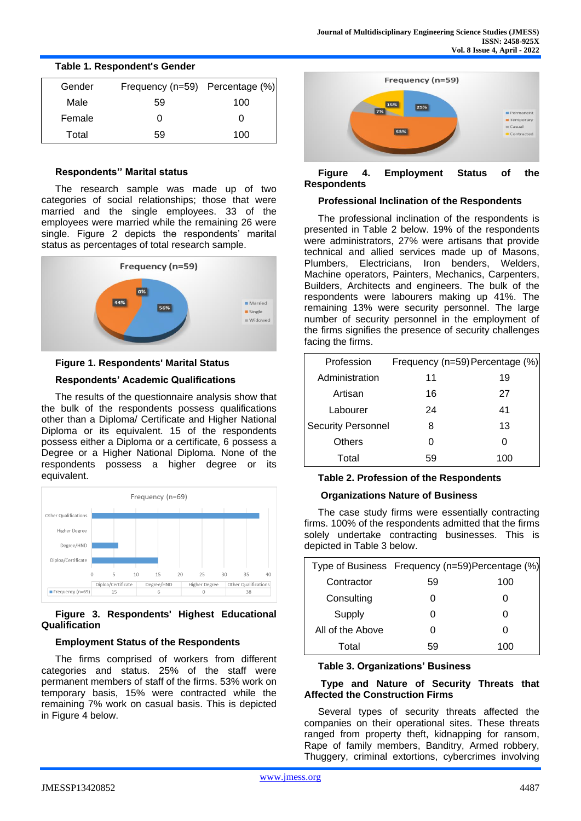| Gender | Frequency (n=59) Percentage (%) |     |
|--------|---------------------------------|-----|
| Male   | 59                              | 100 |
| Female |                                 | O   |
| Total  | 59                              | 100 |

# **Table 1. Respondent's Gender**

## **Respondents'' Marital status**

The research sample was made up of two categories of social relationships; those that were married and the single employees. 33 of the employees were married while the remaining 26 were single. Figure 2 depicts the respondents' marital status as percentages of total research sample.



# **Figure 1. Respondents' Marital Status**

# **Respondents' Academic Qualifications**

The results of the questionnaire analysis show that the bulk of the respondents possess qualifications other than a Diploma/ Certificate and Higher National Diploma or its equivalent. 15 of the respondents possess either a Diploma or a certificate, 6 possess a Degree or a Higher National Diploma. None of the respondents possess a higher degree or its equivalent.



## **Figure 3. Respondents' Highest Educational Qualification**

# **Employment Status of the Respondents**

The firms comprised of workers from different categories and status. 25% of the staff were permanent members of staff of the firms. 53% work on temporary basis, 15% were contracted while the remaining 7% work on casual basis. This is depicted in Figure 4 below.



## **Figure 4. Employment Status of the Respondents**

#### **Professional Inclination of the Respondents**

The professional inclination of the respondents is presented in Table 2 below. 19% of the respondents were administrators, 27% were artisans that provide technical and allied services made up of Masons, Plumbers, Electricians, Iron benders, Welders, Machine operators, Painters, Mechanics, Carpenters, Builders, Architects and engineers. The bulk of the respondents were labourers making up 41%. The remaining 13% were security personnel. The large number of security personnel in the employment of the firms signifies the presence of security challenges facing the firms.

| Profession                | Frequency (n=59) Percentage (%) |     |
|---------------------------|---------------------------------|-----|
| Administration            | 11                              | 19  |
| Artisan                   | 16                              | 27  |
| Labourer                  | 24                              | 41  |
| <b>Security Personnel</b> | 8                               | 13  |
| Others                    | O                               |     |
| Total                     | 59                              | 100 |

# **Table 2. Profession of the Respondents**

# **Organizations Nature of Business**

The case study firms were essentially contracting firms. 100% of the respondents admitted that the firms solely undertake contracting businesses. This is depicted in Table 3 below.

| Type of Business Frequency (n=59) Percentage (%) |    |     |
|--------------------------------------------------|----|-----|
| Contractor                                       | 59 | 100 |
| Consulting                                       | O  |     |
| Supply                                           | O  |     |
| All of the Above                                 | O  | O   |
| Total                                            | 59 | 100 |

#### **Table 3. Organizations' Business**

#### **Type and Nature of Security Threats that Affected the Construction Firms**

Several types of security threats affected the companies on their operational sites. These threats ranged from property theft, kidnapping for ransom, Rape of family members, Banditry, Armed robbery, Thuggery, criminal extortions, cybercrimes involving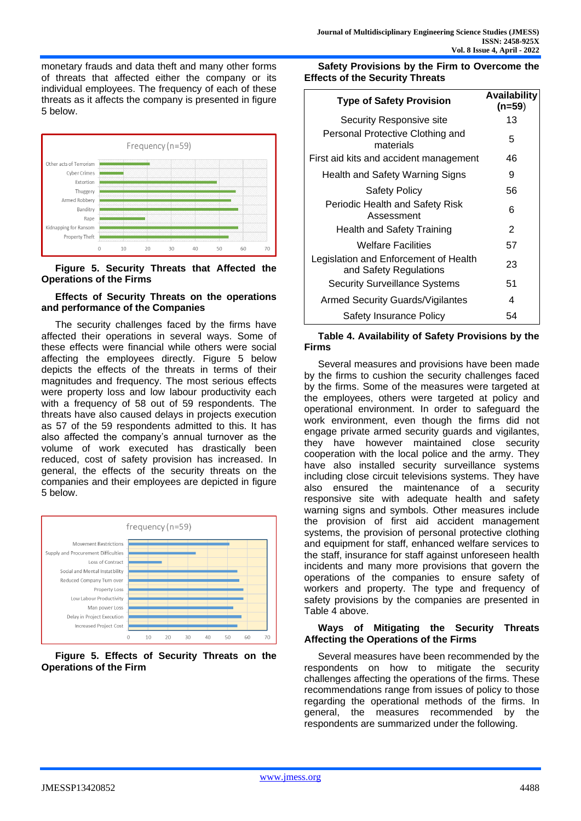monetary frauds and data theft and many other forms of threats that affected either the company or its individual employees. The frequency of each of these threats as it affects the company is presented in figure 5 below.



**Figure 5. Security Threats that Affected the Operations of the Firms**

#### **Effects of Security Threats on the operations and performance of the Companies**

The security challenges faced by the firms have affected their operations in several ways. Some of these effects were financial while others were social affecting the employees directly. Figure 5 below depicts the effects of the threats in terms of their magnitudes and frequency. The most serious effects were property loss and low labour productivity each with a frequency of 58 out of 59 respondents. The threats have also caused delays in projects execution as 57 of the 59 respondents admitted to this. It has also affected the company's annual turnover as the volume of work executed has drastically been reduced, cost of safety provision has increased. In general, the effects of the security threats on the companies and their employees are depicted in figure 5 below.





**Safety Provisions by the Firm to Overcome the Effects of the Security Threats** 

| <b>Type of Safety Provision</b>                                 | Availability<br>(n=59) |
|-----------------------------------------------------------------|------------------------|
| Security Responsive site                                        | 13                     |
| Personal Protective Clothing and<br>materials                   | 5                      |
| First aid kits and accident management                          | 46                     |
| Health and Safety Warning Signs                                 | 9                      |
| Safety Policy                                                   | 56                     |
| Periodic Health and Safety Risk<br>Assessment                   | 6                      |
| Health and Safety Training                                      | 2                      |
| <b>Welfare Facilities</b>                                       | 57                     |
| Legislation and Enforcement of Health<br>and Safety Regulations | 23                     |
| <b>Security Surveillance Systems</b>                            | 51                     |
| Armed Security Guards/Vigilantes                                | 4                      |
| Safety Insurance Policy                                         | 54                     |

## **Table 4. Availability of Safety Provisions by the Firms**

Several measures and provisions have been made by the firms to cushion the security challenges faced by the firms. Some of the measures were targeted at the employees, others were targeted at policy and operational environment. In order to safeguard the work environment, even though the firms did not engage private armed security guards and vigilantes, they have however maintained close security cooperation with the local police and the army. They have also installed security surveillance systems including close circuit televisions systems. They have also ensured the maintenance of a security responsive site with adequate health and safety warning signs and symbols. Other measures include the provision of first aid accident management systems, the provision of personal protective clothing and equipment for staff, enhanced welfare services to the staff, insurance for staff against unforeseen health incidents and many more provisions that govern the operations of the companies to ensure safety of workers and property. The type and frequency of safety provisions by the companies are presented in Table 4 above.

## **Ways of Mitigating the Security Threats Affecting the Operations of the Firms**

Several measures have been recommended by the respondents on how to mitigate the security challenges affecting the operations of the firms. These recommendations range from issues of policy to those regarding the operational methods of the firms. In general, the measures recommended by the respondents are summarized under the following.